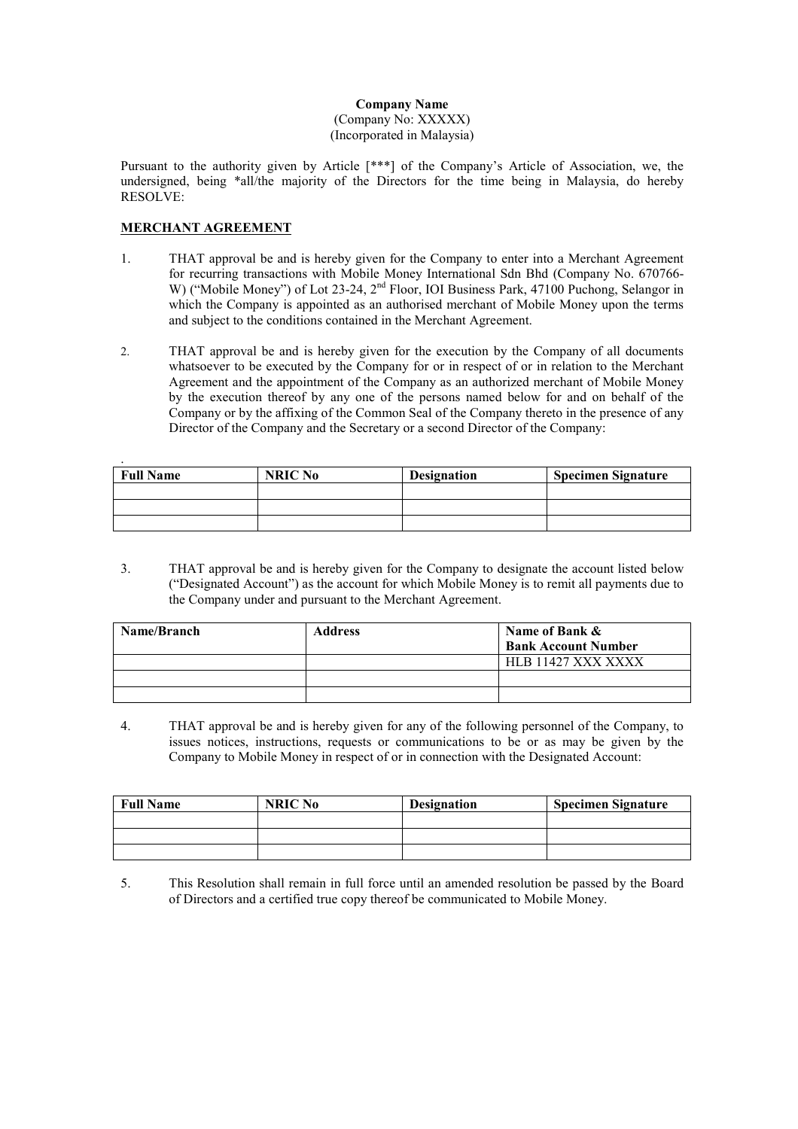## Company Name (Company No: XXXXX) (Incorporated in Malaysia)

Pursuant to the authority given by Article [\*\*\*] of the Company's Article of Association, we, the undersigned, being \*all/the majority of the Directors for the time being in Malaysia, do hereby RESOLVE:

## MERCHANT AGREEMENT

- 1. THAT approval be and is hereby given for the Company to enter into a Merchant Agreement for recurring transactions with Mobile Money International Sdn Bhd (Company No. 670766- W) ("Mobile Money") of Lot 23-24, 2<sup>nd</sup> Floor, IOI Business Park, 47100 Puchong, Selangor in which the Company is appointed as an authorised merchant of Mobile Money upon the terms and subject to the conditions contained in the Merchant Agreement.
- 2. THAT approval be and is hereby given for the execution by the Company of all documents whatsoever to be executed by the Company for or in respect of or in relation to the Merchant Agreement and the appointment of the Company as an authorized merchant of Mobile Money by the execution thereof by any one of the persons named below for and on behalf of the Company or by the affixing of the Common Seal of the Company thereto in the presence of any Director of the Company and the Secretary or a second Director of the Company:

| <b>Full Name</b> | NRIC No | <b>Designation</b> | <b>Specimen Signature</b> |
|------------------|---------|--------------------|---------------------------|
|                  |         |                    |                           |
|                  |         |                    |                           |
|                  |         |                    |                           |

3. THAT approval be and is hereby given for the Company to designate the account listed below ("Designated Account") as the account for which Mobile Money is to remit all payments due to the Company under and pursuant to the Merchant Agreement.

| Name/Branch | <b>Address</b> | Name of Bank &             |  |
|-------------|----------------|----------------------------|--|
|             |                | <b>Bank Account Number</b> |  |
|             |                | HLB 11427 XXX XXXX         |  |
|             |                |                            |  |
|             |                |                            |  |

4. THAT approval be and is hereby given for any of the following personnel of the Company, to issues notices, instructions, requests or communications to be or as may be given by the Company to Mobile Money in respect of or in connection with the Designated Account:

| <b>Full Name</b> | NRIC No | <b>Designation</b> | <b>Specimen Signature</b> |
|------------------|---------|--------------------|---------------------------|
|                  |         |                    |                           |
|                  |         |                    |                           |
|                  |         |                    |                           |

5. This Resolution shall remain in full force until an amended resolution be passed by the Board of Directors and a certified true copy thereof be communicated to Mobile Money.